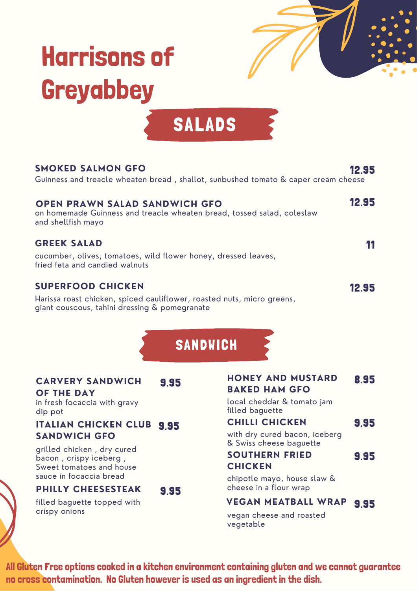# Harrisons of Greyabbey



## SALADS

| <b>SMOKED SALMON GFO</b><br>Guinness and treacle wheaten bread, shallot, sunbushed tomato & caper cream cheese                                      | 12.95 |
|-----------------------------------------------------------------------------------------------------------------------------------------------------|-------|
| <b>OPEN PRAWN SALAD SANDWICH GFO</b><br>on homemade Guinness and treacle wheaten bread, tossed salad, coleslaw<br>and shellfish mayo                | 12.95 |
| <b>GREEK SALAD</b><br>cucumber, olives, tomatoes, wild flower honey, dressed leaves,<br>fried feta and candied walnuts                              |       |
| <b>SUPERFOOD CHICKEN</b><br>Harissa roast chicken, spiced cauliflower, roasted nuts, micro greens,<br>giant couscous, tahini dressing & pomegranate | 12.95 |

SANDWICH

#### **CARVERY SANDWICH** 9.95

**OF THE DAY**

in fresh focaccia with gravy dip pot

### **ITALIAN CHICKEN CLUB** 9.95 **SANDWICH GFO**

grilled chicken , dry cured bacon , crispy iceberg , Sweet tomatoes and house sauce in focaccia bread

### **PHILLY CHEESESTEAK**

9.95

filled baguette topped with crispy onions

| <b>HONEY AND MUSTARD</b><br><b>BAKED HAM GFO</b>         | 8.95 |
|----------------------------------------------------------|------|
| local cheddar & tomato jam<br>filled baguette            |      |
| <b>CHILLI CHICKEN</b>                                    | 9.95 |
| with dry cured bacon, iceberg<br>& Swiss cheese baguette |      |
| <b>SOUTHERN FRIED</b>                                    | 9.95 |
| <b>CHICKEN</b>                                           |      |
| chipotle mayo, house slaw &<br>cheese in a flour wrap    |      |

#### **VEGAN MEATBALL WRAP** 9.95

vegan cheese and roasted vegetable

All Gluten Free options cooked in a kitchen environment containing gluten and we cannot guarantee no cross contamination. No Gluten however is used as an ingredient in the dish.